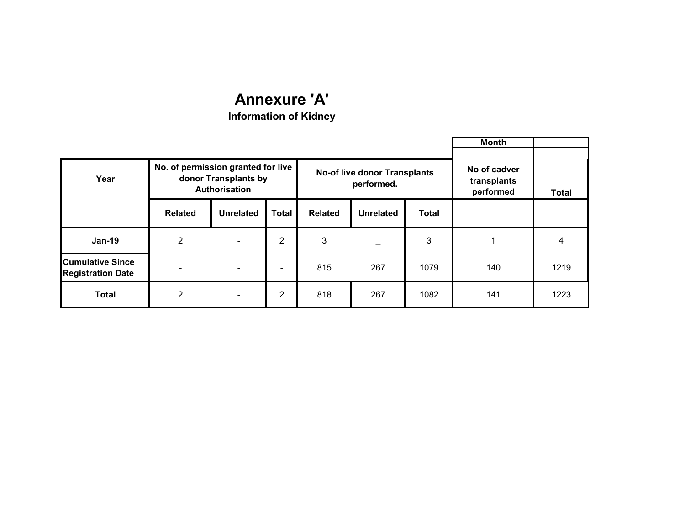|                                                     |                                                                             |                  |                 |                |                                                   |       | Month                       |              |
|-----------------------------------------------------|-----------------------------------------------------------------------------|------------------|-----------------|----------------|---------------------------------------------------|-------|-----------------------------|--------------|
| Year                                                | No. of permission granted for live<br>donor Transplants by<br>Authorisation |                  |                 |                | <b>No-of live donor Transplants</b><br>performed. |       | No of cadver<br>transplants |              |
|                                                     |                                                                             |                  |                 |                |                                                   |       | performed                   | <b>Total</b> |
|                                                     | <b>Related</b>                                                              | <b>Unrelated</b> | <b>Total</b>    | <b>Related</b> | <b>Unrelated</b>                                  | Total |                             |              |
| $Jan-19$                                            | $\overline{2}$                                                              |                  | 2               | 3              |                                                   | 3     |                             | 4            |
| <b>Cumulative Since</b><br><b>Registration Date</b> |                                                                             |                  | $\qquad \qquad$ | 815            | 267                                               | 1079  | 140                         | 1219         |
| <b>Total</b>                                        | $\overline{2}$                                                              |                  | $\overline{2}$  | 818            | 267                                               | 1082  | 141                         | 1223         |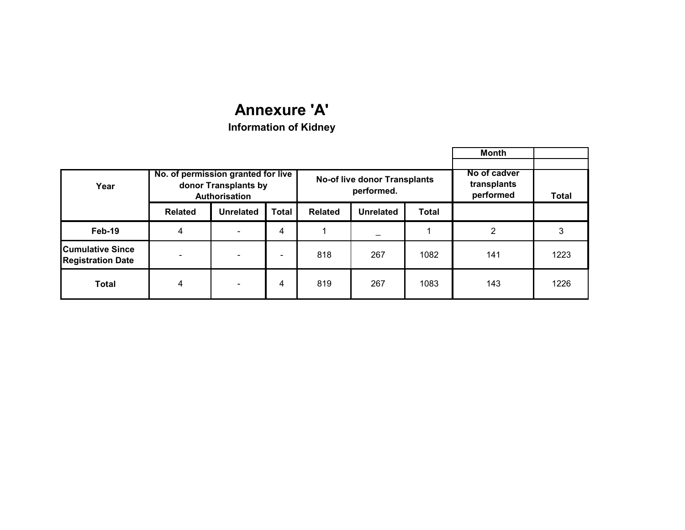|                                                     |                                                                             |                  |              |                |                                                   |              | Month                                    |              |
|-----------------------------------------------------|-----------------------------------------------------------------------------|------------------|--------------|----------------|---------------------------------------------------|--------------|------------------------------------------|--------------|
| Year                                                | No. of permission granted for live<br>donor Transplants by<br>Authorisation |                  |              |                | <b>No-of live donor Transplants</b><br>performed. |              | No of cadver<br>transplants<br>performed | <b>Total</b> |
|                                                     | <b>Related</b>                                                              | <b>Unrelated</b> | <b>Total</b> | <b>Related</b> | <b>Unrelated</b>                                  | <b>Total</b> |                                          |              |
| Feb-19                                              | 4                                                                           |                  | 4            |                |                                                   |              | 2                                        | 3            |
| <b>Cumulative Since</b><br><b>Registration Date</b> |                                                                             |                  |              | 818            | 267                                               | 1082         | 141                                      | 1223         |
| <b>Total</b>                                        | 4                                                                           |                  | 4            | 819            | 267                                               | 1083         | 143                                      | 1226         |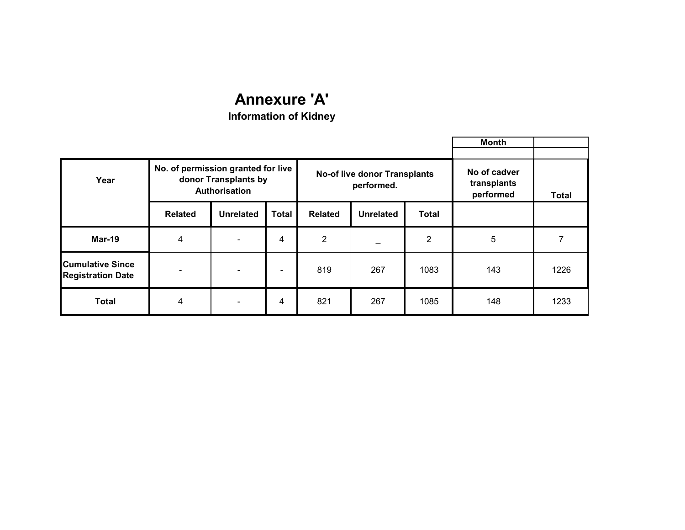|                                                     |                                                                             |                          |                          |                |                                                   |              | Month                                    |       |
|-----------------------------------------------------|-----------------------------------------------------------------------------|--------------------------|--------------------------|----------------|---------------------------------------------------|--------------|------------------------------------------|-------|
| Year                                                | No. of permission granted for live<br>donor Transplants by<br>Authorisation |                          |                          |                | <b>No-of live donor Transplants</b><br>performed. |              | No of cadver<br>transplants<br>performed | Total |
|                                                     | <b>Related</b>                                                              | <b>Unrelated</b>         | <b>Total</b>             | <b>Related</b> | <b>Unrelated</b>                                  | <b>Total</b> |                                          |       |
| <b>Mar-19</b>                                       | 4                                                                           | $\overline{\phantom{0}}$ | 4                        | 2              |                                                   | 2            | 5                                        |       |
| <b>Cumulative Since</b><br><b>Registration Date</b> |                                                                             |                          | $\overline{\phantom{0}}$ | 819            | 267                                               | 1083         | 143                                      | 1226  |
| <b>Total</b>                                        | 4                                                                           |                          | 4                        | 821            | 267                                               | 1085         | 148                                      | 1233  |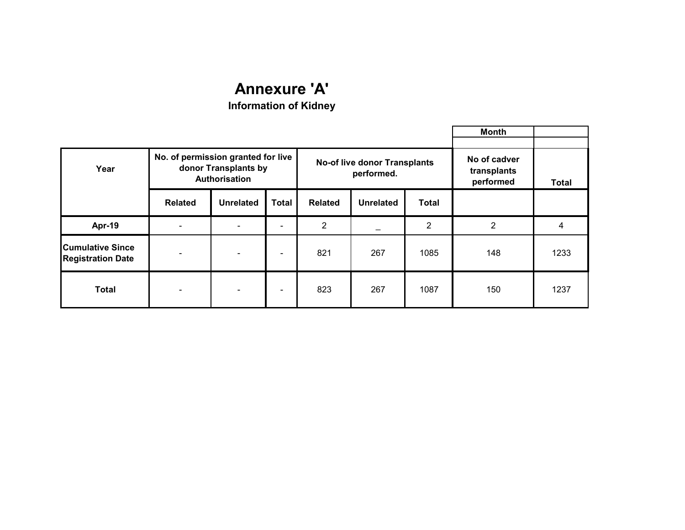|                                                     |                                                                                    |                          |                          |                |                                                   |                                          | <b>Month</b>   |      |
|-----------------------------------------------------|------------------------------------------------------------------------------------|--------------------------|--------------------------|----------------|---------------------------------------------------|------------------------------------------|----------------|------|
| Year                                                | No. of permission granted for live<br>donor Transplants by<br><b>Authorisation</b> |                          |                          |                | <b>No-of live donor Transplants</b><br>performed. | No of cadver<br>transplants<br>performed | <b>Total</b>   |      |
|                                                     | <b>Related</b>                                                                     | <b>Unrelated</b>         | <b>Total</b>             | <b>Related</b> | <b>Unrelated</b>                                  | <b>Total</b>                             |                |      |
| Apr-19                                              |                                                                                    |                          |                          | $\overline{2}$ |                                                   | $\overline{2}$                           | $\overline{2}$ | 4    |
| <b>Cumulative Since</b><br><b>Registration Date</b> | $\overline{\phantom{a}}$                                                           | $\overline{\phantom{m}}$ | $\overline{\phantom{a}}$ | 821            | 267                                               | 1085                                     | 148            | 1233 |
| <b>Total</b>                                        | $\overline{\phantom{a}}$                                                           | $\overline{\phantom{m}}$ | $\overline{\phantom{a}}$ | 823            | 267                                               | 1087                                     | 150            | 1237 |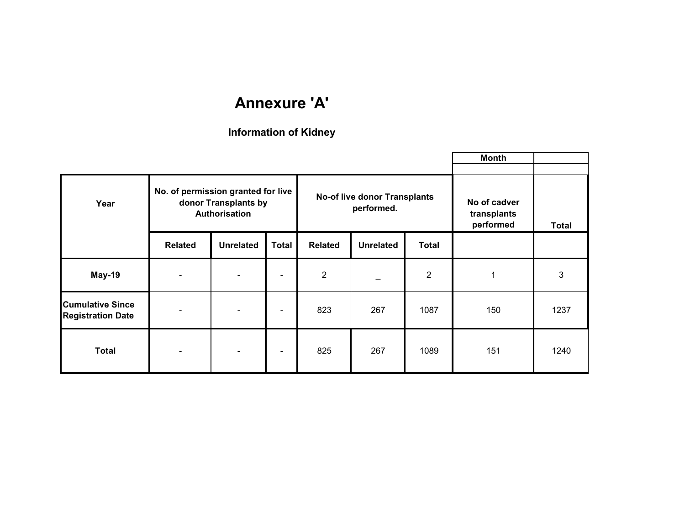|                                                     |                                                                             |                  |                          |                |                                                   |                                          | Month        |                           |
|-----------------------------------------------------|-----------------------------------------------------------------------------|------------------|--------------------------|----------------|---------------------------------------------------|------------------------------------------|--------------|---------------------------|
| Year                                                | No. of permission granted for live<br>donor Transplants by<br>Authorisation |                  |                          |                | <b>No-of live donor Transplants</b><br>performed. | No of cadver<br>transplants<br>performed | <b>Total</b> |                           |
|                                                     | <b>Related</b>                                                              | <b>Unrelated</b> | <b>Total</b>             | <b>Related</b> | <b>Unrelated</b>                                  | <b>Total</b>                             |              |                           |
| May-19                                              |                                                                             |                  | $\overline{\phantom{0}}$ | $\overline{2}$ |                                                   | $\overline{2}$                           | 1            | $\ensuremath{\mathsf{3}}$ |
| <b>Cumulative Since</b><br><b>Registration Date</b> | $\qquad \qquad$                                                             |                  | $\overline{\phantom{a}}$ | 823            | 267                                               | 1087                                     | 150          | 1237                      |
| <b>Total</b>                                        | $\qquad \qquad \blacksquare$                                                |                  |                          | 825            | 267                                               | 1089                                     | 151          | 1240                      |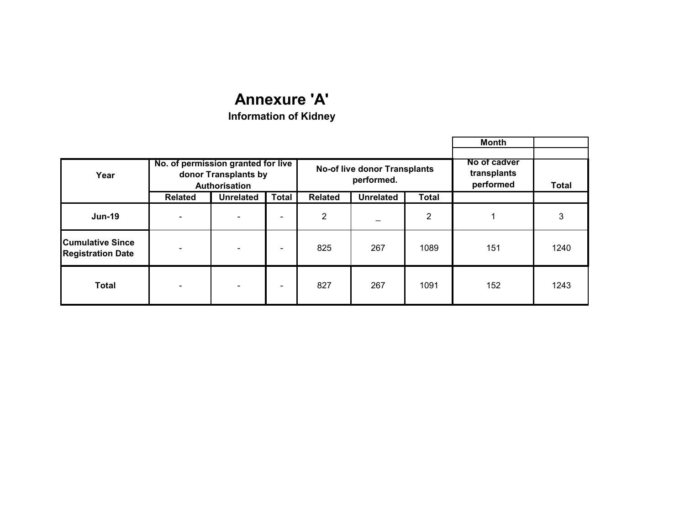|                                                     |                                                                             |                  |                          |                |                                                   |              | <b>Month</b>                             |              |
|-----------------------------------------------------|-----------------------------------------------------------------------------|------------------|--------------------------|----------------|---------------------------------------------------|--------------|------------------------------------------|--------------|
| Year                                                | No. of permission granted for live<br>donor Transplants by<br>Authorisation |                  |                          |                | <b>No-of live donor Transplants</b><br>performed. |              | No of cadver<br>transplants<br>performed | <b>Total</b> |
|                                                     | <b>Related</b>                                                              | <b>Unrelated</b> | <b>Total</b>             | <b>Related</b> | <b>Unrelated</b>                                  | <b>Total</b> |                                          |              |
| <b>Jun-19</b>                                       |                                                                             |                  | $\qquad \qquad$          | 2              |                                                   | 2            |                                          | 3            |
| <b>Cumulative Since</b><br><b>Registration Date</b> |                                                                             |                  | $\overline{\phantom{0}}$ | 825            | 267                                               | 1089         | 151                                      | 1240         |
| <b>Total</b>                                        |                                                                             |                  | -                        | 827            | 267                                               | 1091         | 152                                      | 1243         |